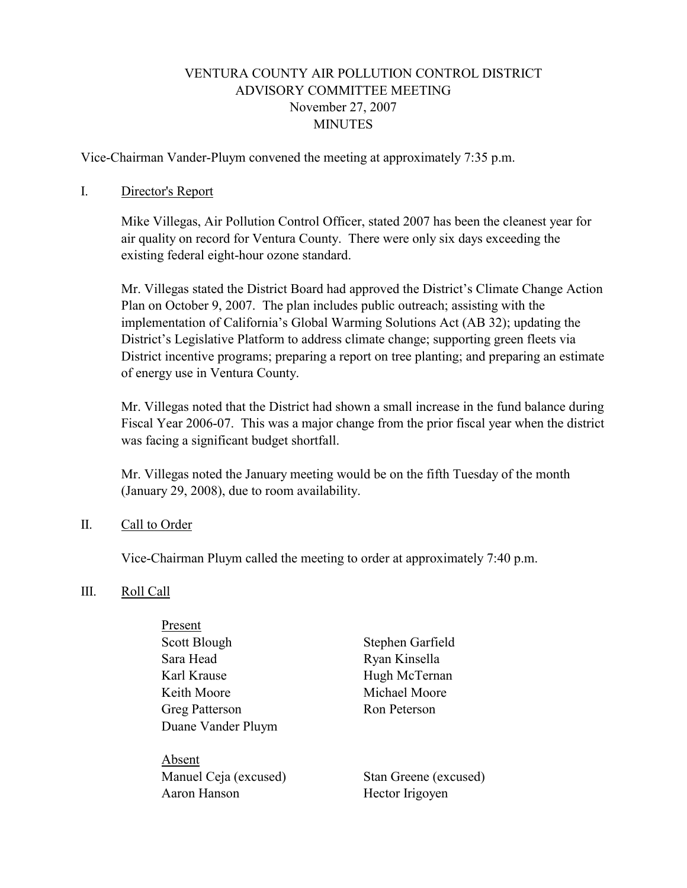### VENTURA COUNTY AIR POLLUTION CONTROL DISTRICT ADVISORY COMMITTEE MEETING November 27, 2007 **MINUTES**

Vice-Chairman Vander-Pluym convened the meeting at approximately 7:35 p.m.

#### I. Director's Report

 Mike Villegas, Air Pollution Control Officer, stated 2007 has been the cleanest year for air quality on record for Ventura County. There were only six days exceeding the existing federal eight-hour ozone standard.

Mr. Villegas stated the District Board had approved the District's Climate Change Action Plan on October 9, 2007. The plan includes public outreach; assisting with the implementation of California's Global Warming Solutions Act (AB 32); updating the District's Legislative Platform to address climate change; supporting green fleets via District incentive programs; preparing a report on tree planting; and preparing an estimate of energy use in Ventura County.

Mr. Villegas noted that the District had shown a small increase in the fund balance during Fiscal Year 2006-07. This was a major change from the prior fiscal year when the district was facing a significant budget shortfall.

Mr. Villegas noted the January meeting would be on the fifth Tuesday of the month (January 29, 2008), due to room availability.

#### II. Call to Order

Vice-Chairman Pluym called the meeting to order at approximately 7:40 p.m.

#### III. Roll Call

| Present               |
|-----------------------|
| Scott Blough          |
| Sara Head             |
| Karl Krause           |
| Keith Moore           |
| <b>Greg Patterson</b> |
| Duane Vander Pluym    |
|                       |

 Absent Manuel Ceja (excused) Stan Greene (excused) Aaron Hanson Hector Irigoyen

Stephen Garfield Ryan Kinsella Hugh McTernan Michael Moore Ron Peterson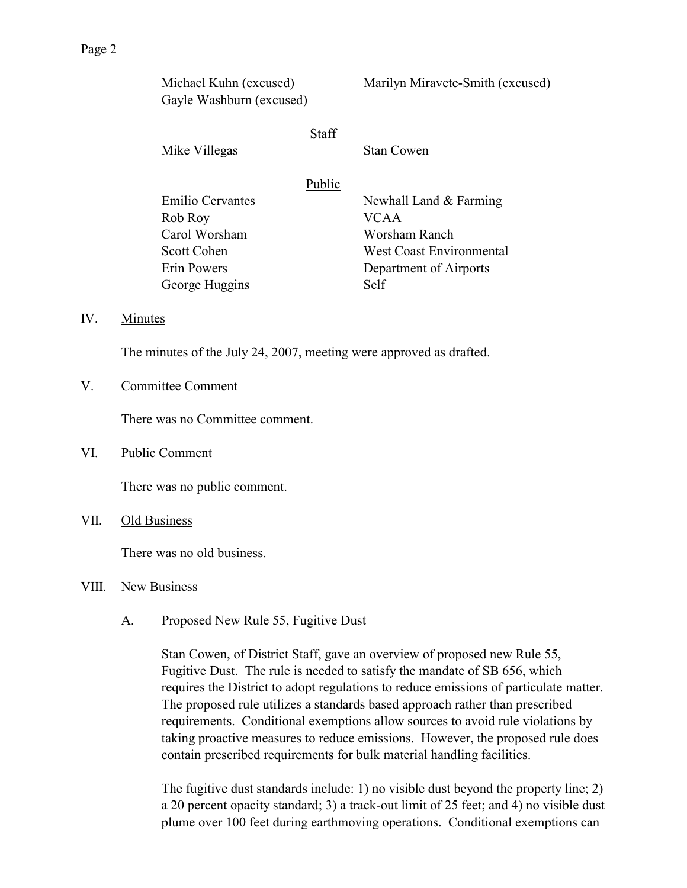| Michael Kuhn (excused)<br>Gayle Washburn (excused) |              | Marilyn Miravete-Smith (excused) |
|----------------------------------------------------|--------------|----------------------------------|
| Mike Villegas                                      | <b>Staff</b> | <b>Stan Cowen</b>                |
|                                                    | Public       |                                  |
| Emilio Cervantes                                   |              | Newhall Land & Farming           |
| Rob Roy                                            |              | VCAA.                            |
| Carol Worsham                                      |              | Worsham Ranch                    |
| Scott Cohen                                        |              | <b>West Coast Environmental</b>  |
| Erin Powers                                        |              | Department of Airports           |
| George Huggins                                     |              | Self                             |

#### IV. Minutes

The minutes of the July 24, 2007, meeting were approved as drafted.

#### V. Committee Comment

There was no Committee comment.

#### VI. Public Comment

There was no public comment.

VII. Old Business

There was no old business.

#### VIII. New Business

A. Proposed New Rule 55, Fugitive Dust

Stan Cowen, of District Staff, gave an overview of proposed new Rule 55, Fugitive Dust. The rule is needed to satisfy the mandate of SB 656, which requires the District to adopt regulations to reduce emissions of particulate matter. The proposed rule utilizes a standards based approach rather than prescribed requirements. Conditional exemptions allow sources to avoid rule violations by taking proactive measures to reduce emissions. However, the proposed rule does contain prescribed requirements for bulk material handling facilities.

The fugitive dust standards include: 1) no visible dust beyond the property line; 2) a 20 percent opacity standard; 3) a track-out limit of 25 feet; and 4) no visible dust plume over 100 feet during earthmoving operations. Conditional exemptions can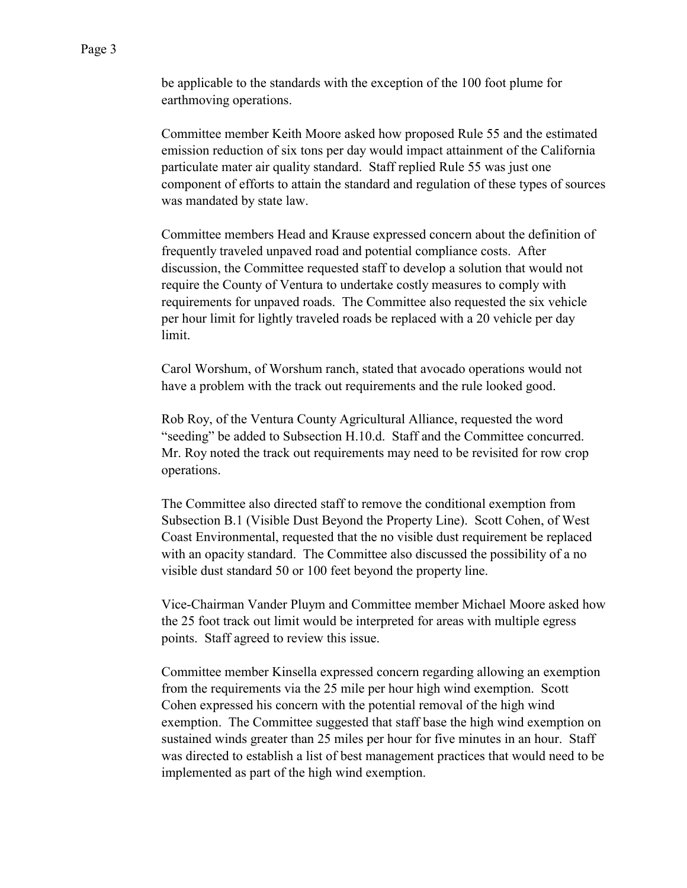Committee member Keith Moore asked how proposed Rule 55 and the estimated emission reduction of six tons per day would impact attainment of the California particulate mater air quality standard. Staff replied Rule 55 was just one component of efforts to attain the standard and regulation of these types of sources was mandated by state law.

Committee members Head and Krause expressed concern about the definition of frequently traveled unpaved road and potential compliance costs. After discussion, the Committee requested staff to develop a solution that would not require the County of Ventura to undertake costly measures to comply with requirements for unpaved roads. The Committee also requested the six vehicle per hour limit for lightly traveled roads be replaced with a 20 vehicle per day limit.

Carol Worshum, of Worshum ranch, stated that avocado operations would not have a problem with the track out requirements and the rule looked good.

Rob Roy, of the Ventura County Agricultural Alliance, requested the word "seeding" be added to Subsection H.10.d. Staff and the Committee concurred. Mr. Roy noted the track out requirements may need to be revisited for row crop operations.

The Committee also directed staff to remove the conditional exemption from Subsection B.1 (Visible Dust Beyond the Property Line). Scott Cohen, of West Coast Environmental, requested that the no visible dust requirement be replaced with an opacity standard. The Committee also discussed the possibility of a no visible dust standard 50 or 100 feet beyond the property line.

Vice-Chairman Vander Pluym and Committee member Michael Moore asked how the 25 foot track out limit would be interpreted for areas with multiple egress points. Staff agreed to review this issue.

Committee member Kinsella expressed concern regarding allowing an exemption from the requirements via the 25 mile per hour high wind exemption. Scott Cohen expressed his concern with the potential removal of the high wind exemption. The Committee suggested that staff base the high wind exemption on sustained winds greater than 25 miles per hour for five minutes in an hour. Staff was directed to establish a list of best management practices that would need to be implemented as part of the high wind exemption.